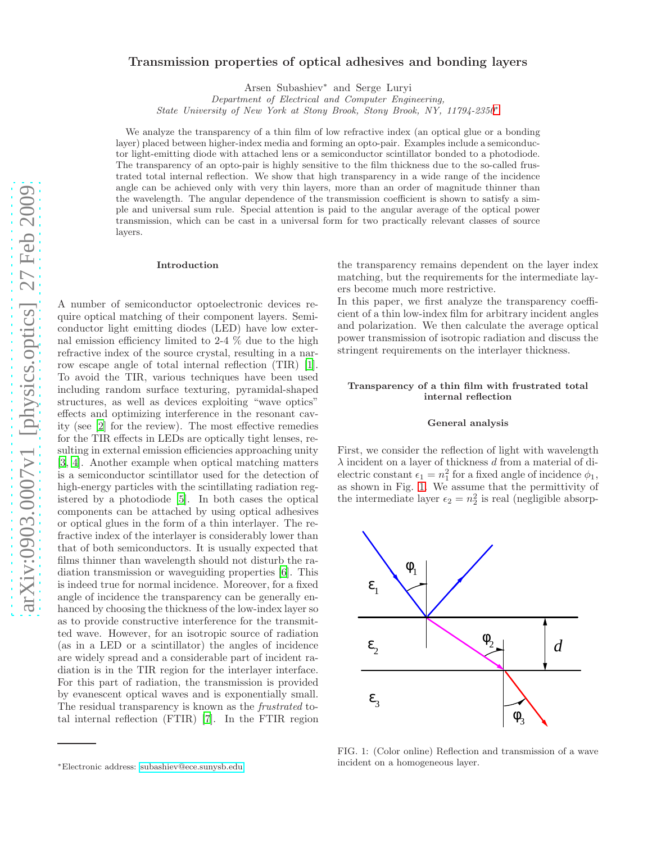# arXiv:0903.0007v1 [physics.optics] 27 Feb 2009 [arXiv:0903.0007v1 \[physics.optics\] 27 Feb 2009](http://arxiv.org/abs/0903.0007v1)

# Transmission properties of optical adhesives and bonding layers

Arsen Subashiev<sup>∗</sup> and Serge Luryi

Department of Electrical and Computer Engineering,

State University of New York at Stony Brook, Stony Brook, NY, 11794-2350[∗](#page-0-0)

We analyze the transparency of a thin film of low refractive index (an optical glue or a bonding layer) placed between higher-index media and forming an opto-pair. Examples include a semiconductor light-emitting diode with attached lens or a semiconductor scintillator bonded to a photodiode. The transparency of an opto-pair is highly sensitive to the film thickness due to the so-called frustrated total internal reflection. We show that high transparency in a wide range of the incidence angle can be achieved only with very thin layers, more than an order of magnitude thinner than the wavelength. The angular dependence of the transmission coefficient is shown to satisfy a simple and universal sum rule. Special attention is paid to the angular average of the optical power transmission, which can be cast in a universal form for two practically relevant classes of source layers.

## Introduction

A number of semiconductor optoelectronic devices require optical matching of their component layers. Semiconductor light emitting diodes (LED) have low external emission efficiency limited to 2-4 % due to the high refractive index of the source crystal, resulting in a narrow escape angle of total internal reflection (TIR) [\[1\]](#page-8-0). To avoid the TIR, various techniques have been used including random surface texturing, pyramidal-shaped structures, as well as devices exploiting "wave optics" effects and optimizing interference in the resonant cavity (see [\[2](#page-8-1)] for the review). The most effective remedies for the TIR effects in LEDs are optically tight lenses, resulting in external emission efficiencies approaching unity [\[3,](#page-8-2) [4](#page-8-3)]. Another example when optical matching matters is a semiconductor scintillator used for the detection of high-energy particles with the scintillating radiation registered by a photodiode [\[5](#page-8-4)]. In both cases the optical components can be attached by using optical adhesives or optical glues in the form of a thin interlayer. The refractive index of the interlayer is considerably lower than that of both semiconductors. It is usually expected that films thinner than wavelength should not disturb the radiation transmission or waveguiding properties [\[6](#page-8-5)]. This is indeed true for normal incidence. Moreover, for a fixed angle of incidence the transparency can be generally enhanced by choosing the thickness of the low-index layer so as to provide constructive interference for the transmitted wave. However, for an isotropic source of radiation (as in a LED or a scintillator) the angles of incidence are widely spread and a considerable part of incident radiation is in the TIR region for the interlayer interface. For this part of radiation, the transmission is provided by evanescent optical waves and is exponentially small. The residual transparency is known as the frustrated total internal reflection (FTIR) [\[7\]](#page-8-6). In the FTIR region the transparency remains dependent on the layer index matching, but the requirements for the intermediate layers become much more restrictive.

In this paper, we first analyze the transparency coefficient of a thin low-index film for arbitrary incident angles and polarization. We then calculate the average optical power transmission of isotropic radiation and discuss the stringent requirements on the interlayer thickness.

# Transparency of a thin film with frustrated total internal reflection

### General analysis

First, we consider the reflection of light with wavelength  $\lambda$  incident on a layer of thickness d from a material of dielectric constant  $\epsilon_1 = n_1^2$  for a fixed angle of incidence  $\phi_1$ , as shown in Fig. [1.](#page-0-1) We assume that the permittivity of the intermediate layer  $\epsilon_2 = n_2^2$  is real (negligible absorp-



<span id="page-0-1"></span>FIG. 1: (Color online) Reflection and transmission of a wave incident on a homogeneous layer.

<span id="page-0-0"></span><sup>∗</sup>Electronic address: [subashiev@ece.sunysb.edu](mailto:subashiev@ece.sunysb.edu)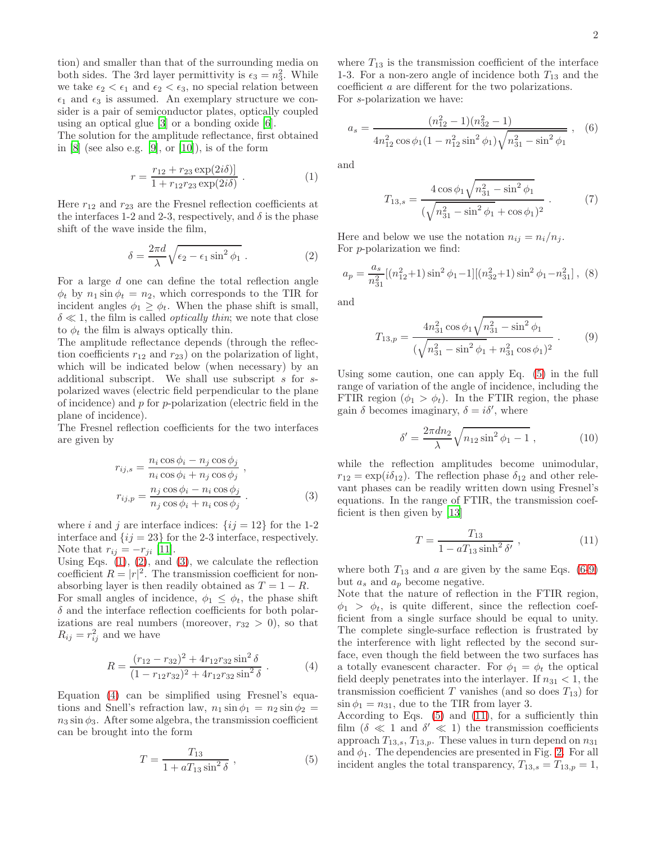tion) and smaller than that of the surrounding media on both sides. The 3rd layer permittivity is  $\epsilon_3 = n_3^2$ . While we take  $\epsilon_2 < \epsilon_1$  and  $\epsilon_2 < \epsilon_3$ , no special relation between  $\epsilon_1$  and  $\epsilon_3$  is assumed. An exemplary structure we consider is a pair of semiconductor plates, optically coupled using an optical glue [\[3](#page-8-2)] or a bonding oxide [\[6](#page-8-5)].

The solution for the amplitude reflectance, first obtained in  $[8]$  (see also e.g.  $[9]$ , or  $[10]$ ), is of the form

$$
r = \frac{r_{12} + r_{23} \exp(2i\delta)}{1 + r_{12}r_{23} \exp(2i\delta)}.
$$
 (1)

Here  $r_{12}$  and  $r_{23}$  are the Fresnel reflection coefficients at the interfaces 1-2 and 2-3, respectively, and  $\delta$  is the phase shift of the wave inside the film,

$$
\delta = \frac{2\pi d}{\lambda} \sqrt{\epsilon_2 - \epsilon_1 \sin^2 \phi_1} . \tag{2}
$$

For a large d one can define the total reflection angle  $\phi_t$  by  $n_1 \sin \phi_t = n_2$ , which corresponds to the TIR for incident angles  $\phi_1 \geq \phi_t$ . When the phase shift is small,  $\delta \ll 1$ , the film is called *optically thin*; we note that close to  $\phi_t$  the film is always optically thin.

The amplitude reflectance depends (through the reflection coefficients  $r_{12}$  and  $r_{23}$ ) on the polarization of light, which will be indicated below (when necessary) by an additional subscript. We shall use subscript s for spolarized waves (electric field perpendicular to the plane of incidence) and  $p$  for  $p$ -polarization (electric field in the plane of incidence).

The Fresnel reflection coefficients for the two interfaces are given by

$$
r_{ij,s} = \frac{n_i \cos \phi_i - n_j \cos \phi_j}{n_i \cos \phi_i + n_j \cos \phi_j},
$$
  
\n
$$
r_{ij,p} = \frac{n_j \cos \phi_i - n_i \cos \phi_j}{n_j \cos \phi_i + n_i \cos \phi_j}.
$$
 (3)

where i and j are interface indices:  $\{ij = 12\}$  for the 1-2 interface and  $\{ij = 23\}$  for the 2-3 interface, respectively. Note that  $r_{ij} = -r_{ji}$  [\[11\]](#page-8-10).

Using Eqs.  $(1)$ ,  $(2)$ , and  $(3)$ , we calculate the reflection coefficient  $R = |r|^2$ . The transmission coefficient for nonabsorbing layer is then readily obtained as  $T = 1 - R$ . For small angles of incidence,  $\phi_1 \leq \phi_t$ , the phase shift

 $\delta$  and the interface reflection coefficients for both polarizations are real numbers (moreover,  $r_{32} > 0$ ), so that  $R_{ij} = r_{ij}^2$  and we have

$$
R = \frac{(r_{12} - r_{32})^2 + 4r_{12}r_{32}\sin^2 \delta}{(1 - r_{12}r_{32})^2 + 4r_{12}r_{32}\sin^2 \delta}.
$$
 (4)

Equation [\(4\)](#page-7-1) can be simplified using Fresnel's equations and Snell's refraction law,  $n_1 \sin \phi_1 = n_2 \sin \phi_2 =$  $n_3 \sin \phi_3$ . After some algebra, the transmission coefficient can be brought into the form

$$
T = \frac{T_{13}}{1 + aT_{13}\sin^2\delta} \,,\tag{5}
$$

where  $T_{13}$  is the transmission coefficient of the interface 1-3. For a non-zero angle of incidence both  $T_{13}$  and the coefficient a are different for the two polarizations. For s-polarization we have:

$$
a_s = \frac{(n_{12}^2 - 1)(n_{32}^2 - 1)}{4n_{12}^2 \cos \phi_1 (1 - n_{12}^2 \sin^2 \phi_1) \sqrt{n_{31}^2 - \sin^2 \phi_1}} , \quad (6)
$$

and

$$
T_{13,s} = \frac{4\cos\phi_1\sqrt{n_{31}^2 - \sin^2\phi_1}}{(\sqrt{n_{31}^2 - \sin^2\phi_1} + \cos\phi_1)^2} \ . \tag{7}
$$

Here and below we use the notation  $n_{ij} = n_i/n_j$ . For p-polarization we find:

$$
a_p = \frac{a_s}{n_{31}^2} [(n_{12}^2 + 1) \sin^2 \phi_1 - 1] [(n_{32}^2 + 1) \sin^2 \phi_1 - n_{31}^2], (8)
$$

and

$$
T_{13,p} = \frac{4n_{31}^2 \cos \phi_1 \sqrt{n_{31}^2 - \sin^2 \phi_1}}{(\sqrt{n_{31}^2 - \sin^2 \phi_1} + n_{31}^2 \cos \phi_1)^2} .
$$
 (9)

Using some caution, one can apply Eq. [\(5\)](#page-7-2) in the full range of variation of the angle of incidence, including the FTIR region  $(\phi_1 > \phi_t)$ . In the FTIR region, the phase gain  $\delta$  becomes imaginary,  $\delta = i\delta'$ , where

$$
\delta' = \frac{2\pi dn_2}{\lambda} \sqrt{n_{12} \sin^2 \phi_1 - 1} \,, \tag{10}
$$

while the reflection amplitudes become unimodular,  $r_{12} = \exp(i\delta_{12})$ . The reflection phase  $\delta_{12}$  and other relevant phases can be readily written down using Fresnel's equations. In the range of FTIR, the transmission coefficient is then given by [\[13\]](#page-8-11)

<span id="page-1-0"></span>
$$
T = \frac{T_{13}}{1 - aT_{13}\sinh^2\delta'},
$$
 (11)

where both  $T_{13}$  and a are given by the same Eqs. [\(6](#page-7-3)[-9\)](#page-7-4) but  $a_s$  and  $a_p$  become negative.

Note that the nature of reflection in the FTIR region,  $\phi_1 > \phi_t$ , is quite different, since the reflection coefficient from a single surface should be equal to unity. The complete single-surface reflection is frustrated by the interference with light reflected by the second surface, even though the field between the two surfaces has a totally evanescent character. For  $\phi_1 = \phi_t$  the optical field deeply penetrates into the interlayer. If  $n_{31} < 1$ , the transmission coefficient T vanishes (and so does  $T_{13}$ ) for  $\sin \phi_1 = n_{31}$ , due to the TIR from layer 3.

According to Eqs.  $(5)$  and  $(11)$ , for a sufficiently thin film  $(\delta \ll 1 \text{ and } \delta' \ll 1)$  the transmission coefficients approach  $T_{13,s}$ ,  $T_{13,p}$ . These values in turn depend on  $n_{31}$ and  $\phi_1$ . The dependencies are presented in Fig. [2.](#page-2-0) For all incident angles the total transparency,  $T_{13,s} = T_{13,p} = 1$ ,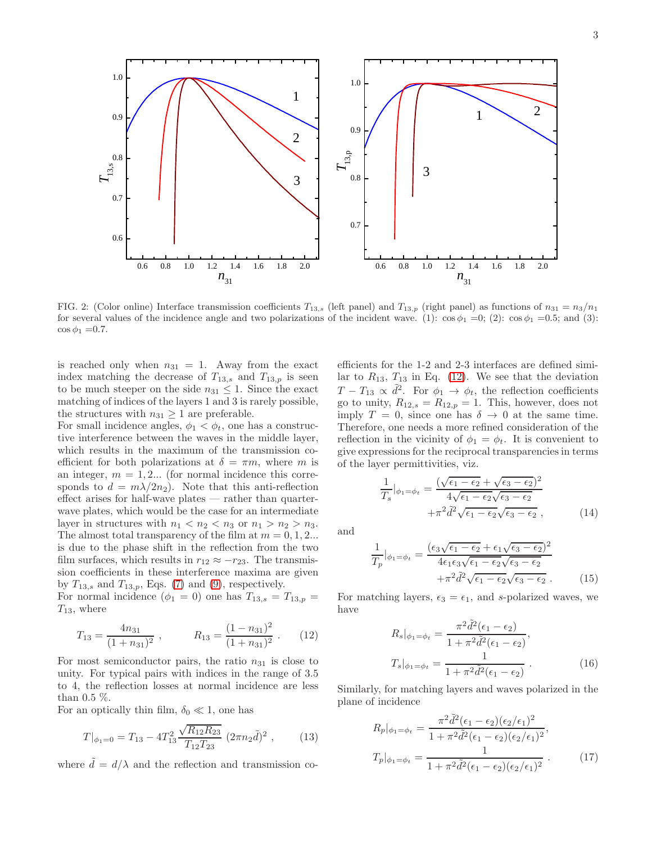<span id="page-2-0"></span>FIG. 2: (Color online) Interface transmission coefficients  $T_{13,s}$  (left panel) and  $T_{13,p}$  (right panel) as functions of  $n_{31} = n_3/n_1$ for several values of the incidence angle and two polarizations of the incident wave. (1):  $\cos \phi_1 = 0$ ; (2):  $\cos \phi_1 = 0.5$ ; and (3):  $\cos \phi_1 = 0.7$ .

is reached only when  $n_{31} = 1$ . Away from the exact index matching the decrease of  $T_{13,s}$  and  $T_{13,p}$  is seen to be much steeper on the side  $n_{31} \leq 1$ . Since the exact matching of indices of the layers 1 and 3 is rarely possible, the structures with  $n_{31} \geq 1$  are preferable.

For small incidence angles,  $\phi_1 < \phi_t$ , one has a constructive interference between the waves in the middle layer, which results in the maximum of the transmission coefficient for both polarizations at  $\delta = \pi m$ , where m is an integer,  $m = 1, 2...$  (for normal incidence this corresponds to  $d = m\lambda/2n_2$ . Note that this anti-reflection effect arises for half-wave plates — rather than quarterwave plates, which would be the case for an intermediate layer in structures with  $n_1 < n_2 < n_3$  or  $n_1 > n_2 > n_3$ . The almost total transparency of the film at  $m = 0, 1, 2...$ is due to the phase shift in the reflection from the two film surfaces, which results in  $r_{12} \approx -r_{23}$ . The transmission coefficients in these interference maxima are given by  $T_{13,s}$  and  $T_{13,p}$ , Eqs. [\(7\)](#page-7-5) and [\(9\)](#page-7-4), respectively.

For normal incidence  $(\phi_1 = 0)$  one has  $T_{13,s} = T_{13,p} =$  $T_{13}$ , where

<span id="page-2-1"></span>
$$
T_{13} = \frac{4n_{31}}{(1+n_{31})^2}, \qquad R_{13} = \frac{(1-n_{31})^2}{(1+n_{31})^2} \ . \qquad (12)
$$

For most semiconductor pairs, the ratio  $n_{31}$  is close to unity. For typical pairs with indices in the range of 3.5 to 4, the reflection losses at normal incidence are less than 0.5 %.

For an optically thin film,  $\delta_0 \ll 1$ , one has

<span id="page-2-2"></span>
$$
T|_{\phi_1=0} = T_{13} - 4T_{13}^2 \frac{\sqrt{R_{12}R_{23}}}{T_{12}T_{23}} (2\pi n_2 \tilde{d})^2 , \qquad (13)
$$

where  $d = d/\lambda$  and the reflection and transmission co-

efficients for the 1-2 and 2-3 interfaces are defined similar to  $R_{13}$ ,  $T_{13}$  in Eq. [\(12\)](#page-2-1). We see that the deviation  $T - T_{13} \propto \tilde{d}^2$ . For  $\phi_1 \to \phi_t$ , the reflection coefficients go to unity,  $R_{12,s} = R_{12,p} = 1$ . This, however, does not imply  $T = 0$ , since one has  $\delta \rightarrow 0$  at the same time. Therefore, one needs a more refined consideration of the reflection in the vicinity of  $\phi_1 = \phi_t$ . It is convenient to give expressions for the reciprocal transparencies in terms of the layer permittivities, viz.

$$
\frac{1}{T_s}|_{\phi_1 = \phi_t} = \frac{(\sqrt{\epsilon_1 - \epsilon_2} + \sqrt{\epsilon_3 - \epsilon_2})^2}{4\sqrt{\epsilon_1 - \epsilon_2}\sqrt{\epsilon_3 - \epsilon_2}} + \pi^2 \tilde{d}^2 \sqrt{\epsilon_1 - \epsilon_2}\sqrt{\epsilon_3 - \epsilon_2},
$$
\n(14)

and

$$
\frac{1}{T_p}|_{\phi_1 = \phi_t} = \frac{(\epsilon_3 \sqrt{\epsilon_1 - \epsilon_2} + \epsilon_1 \sqrt{\epsilon_3 - \epsilon_2})^2}{4\epsilon_1 \epsilon_3 \sqrt{\epsilon_1 - \epsilon_2} \sqrt{\epsilon_3 - \epsilon_2}} + \pi^2 \tilde{d}^2 \sqrt{\epsilon_1 - \epsilon_2} \sqrt{\epsilon_3 - \epsilon_2} .
$$
\n(15)

For matching layers,  $\epsilon_3 = \epsilon_1$ , and s-polarized waves, we have

<span id="page-2-3"></span>
$$
R_s|_{\phi_1 = \phi_t} = \frac{\pi^2 \tilde{d}^2(\epsilon_1 - \epsilon_2)}{1 + \pi^2 \tilde{d}^2(\epsilon_1 - \epsilon_2)},
$$
  
\n
$$
T_s|_{\phi_1 = \phi_t} = \frac{1}{1 + \pi^2 \tilde{d}^2(\epsilon_1 - \epsilon_2)}.
$$
\n(16)

Similarly, for matching layers and waves polarized in the plane of incidence

<span id="page-2-4"></span>
$$
R_p|_{\phi_1 = \phi_t} = \frac{\pi^2 \tilde{d}^2 (\epsilon_1 - \epsilon_2)(\epsilon_2/\epsilon_1)^2}{1 + \pi^2 \tilde{d}^2 (\epsilon_1 - \epsilon_2)(\epsilon_2/\epsilon_1)^2},
$$
  
\n
$$
T_p|_{\phi_1 = \phi_t} = \frac{1}{1 + \pi^2 \tilde{d}^2 (\epsilon_1 - \epsilon_2)(\epsilon_2/\epsilon_1)^2}.
$$
\n(17)

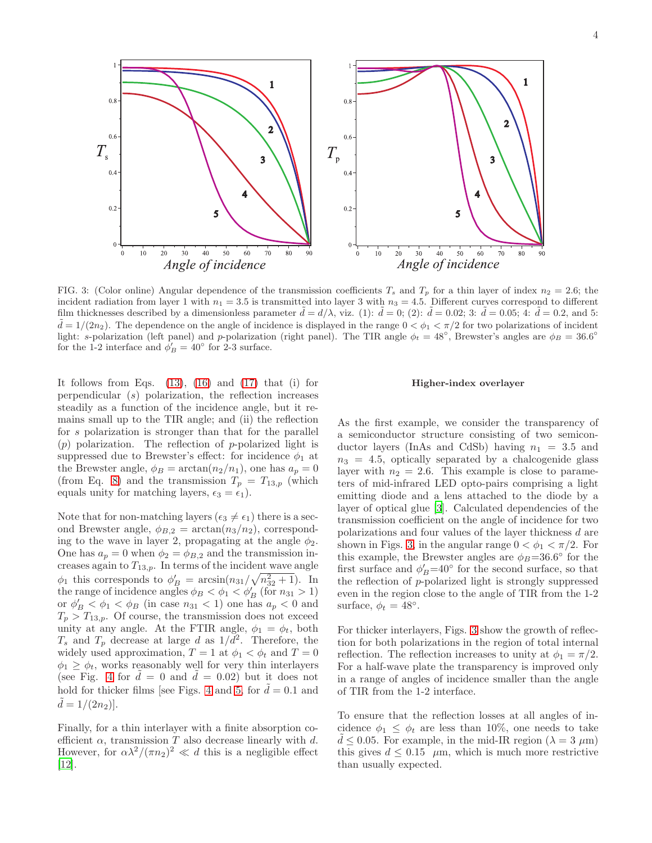$\mathbf{1}$  $0.8$ 0.8  $\overline{2}$  $\overline{2}$  $0.6$  $0.6$  $T_{\scriptscriptstyle\rm p}$  $T_{\rm s}$  $\overline{\mathbf{3}}$  $\overline{\mathbf{3}}$  $0.4$  $0.4$  $0.2$  $0.2$ 5 5  $\overline{0}$  $\theta$  $\frac{1}{70}$  $\frac{1}{20}$  $40$  $50$  $\overline{80}$  $\frac{1}{70}$  $10$  $30$  $60$  $30$  $40$  $50$  $60$  $10$  $20$  $80$  $\overline{90}$  $\theta$ Angle of incidence Angle of incidence

<span id="page-3-0"></span>FIG. 3: (Color online) Angular dependence of the transmission coefficients  $T_s$  and  $T_p$  for a thin layer of index  $n_2 = 2.6$ ; the incident radiation from layer 1 with  $n_1 = 3.5$  is transmitted into layer 3 with  $n_3 = 4.5$ . Different curves correspond to different film thicknesses described by a dimensionless parameter  $\tilde{d} = d/\lambda$ , viz. (1):  $\tilde{d} = 0$ ; (2):  $\tilde{d} = 0.02$ ; 3:  $\tilde{d} = 0.05$ ; 4:  $\tilde{d} = 0.2$ , and 5:  $\tilde{d} = 1/(2n_2)$ . The dependence on the angle of incidence is displayed in the range  $0 < \phi_1 < \pi/2$  for two polarizations of incident light: s-polarization (left panel) and p-polarization (right panel). The TIR angle  $\phi_t = 48^\circ$ , Brewster's angles are  $\phi_B = 36.6^\circ$ for the 1-2 interface and  $\phi'_B = 40^\circ$  for 2-3 surface.

It follows from Eqs.  $(13)$ ,  $(16)$  and  $(17)$  that  $(i)$  for perpendicular (s) polarization, the reflection increases steadily as a function of the incidence angle, but it remains small up to the TIR angle; and (ii) the reflection for s polarization is stronger than that for the parallel  $(p)$  polarization. The reflection of p-polarized light is suppressed due to Brewster's effect: for incidence  $\phi_1$  at the Brewster angle,  $\phi_B = \arctan(n_2/n_1)$ , one has  $a_p = 0$ (from Eq. [8\)](#page-7-6) and the transmission  $T_p = T_{13,p}$  (which equals unity for matching layers,  $\epsilon_3 = \epsilon_1$ ).

Note that for non-matching layers ( $\epsilon_3 \neq \epsilon_1$ ) there is a second Brewster angle,  $\phi_{B,2} = \arctan(n_3/n_2)$ , corresponding to the wave in layer 2, propagating at the angle  $\phi_2$ . One has  $a_p = 0$  when  $\phi_2 = \phi_{B,2}$  and the transmission increases again to  $T_{13,p}$ . In terms of the incident wave angle  $\phi_1$  this corresponds to  $\phi'_B = \arcsin(n_{31}/\sqrt{n_{32}^2 + 1})$ . In the range of incidence angles  $\phi_B < \phi_1 < \phi_B'$  (for  $n_{31} > 1$ ) or  $\phi'_B < \phi_1 < \phi_B$  (in case  $n_{31} < 1$ ) one has  $a_p < 0$  and  $T_p > T_{13,p}$ . Of course, the transmission does not exceed unity at any angle. At the FTIR angle,  $\phi_1 = \phi_t$ , both  $T_s$  and  $T_p$  decrease at large d as  $1/d^2$ . Therefore, the widely used approximation,  $T = 1$  at  $\phi_1 < \phi_t$  and  $T = 0$  $\phi_1 \geq \phi_t$ , works reasonably well for very thin interlayers (see Fig. [4](#page-4-0) for  $d = 0$  and  $d = 0.02$ ) but it does not hold for thicker films [see Figs. [4](#page-4-0) and [5,](#page-4-1) for  $\tilde{d} = 0.1$  and  $d = 1/(2n_2)$ .

Finally, for a thin interlayer with a finite absorption coefficient  $\alpha$ , transmission T also decrease linearly with d. However, for  $\alpha\lambda^2/(\pi n_2)^2 \ll d$  this is a negligible effect [\[12\]](#page-8-12).

### Higher-index overlayer

As the first example, we consider the transparency of a semiconductor structure consisting of two semiconductor layers (InAs and CdSb) having  $n_1 = 3.5$  and  $n_3 = 4.5$ , optically separated by a chalcogenide glass layer with  $n_2 = 2.6$ . This example is close to parameters of mid-infrared LED opto-pairs comprising a light emitting diode and a lens attached to the diode by a layer of optical glue [\[3](#page-8-2)]. Calculated dependencies of the transmission coefficient on the angle of incidence for two polarizations and four values of the layer thickness d are shown in Figs. [3,](#page-3-0) in the angular range  $0 < \phi_1 < \pi/2$ . For this example, the Brewster angles are  $\phi_B = 36.6^\circ$  for the first surface and  $\phi'_B = 40^\circ$  for the second surface, so that the reflection of p-polarized light is strongly suppressed even in the region close to the angle of TIR from the 1-2 surface,  $\phi_t = 48^\circ$ .

For thicker interlayers, Figs. [3](#page-3-0) show the growth of reflection for both polarizations in the region of total internal reflection. The reflection increases to unity at  $\phi_1 = \pi/2$ . For a half-wave plate the transparency is improved only in a range of angles of incidence smaller than the angle of TIR from the 1-2 interface.

To ensure that the reflection losses at all angles of incidence  $\phi_1 \leq \phi_t$  are less than 10%, one needs to take  $d \leq 0.05$ . For example, in the mid-IR region ( $\lambda = 3 \mu m$ ) this gives  $d \leq 0.15$   $\mu$ m, which is much more restrictive than usually expected.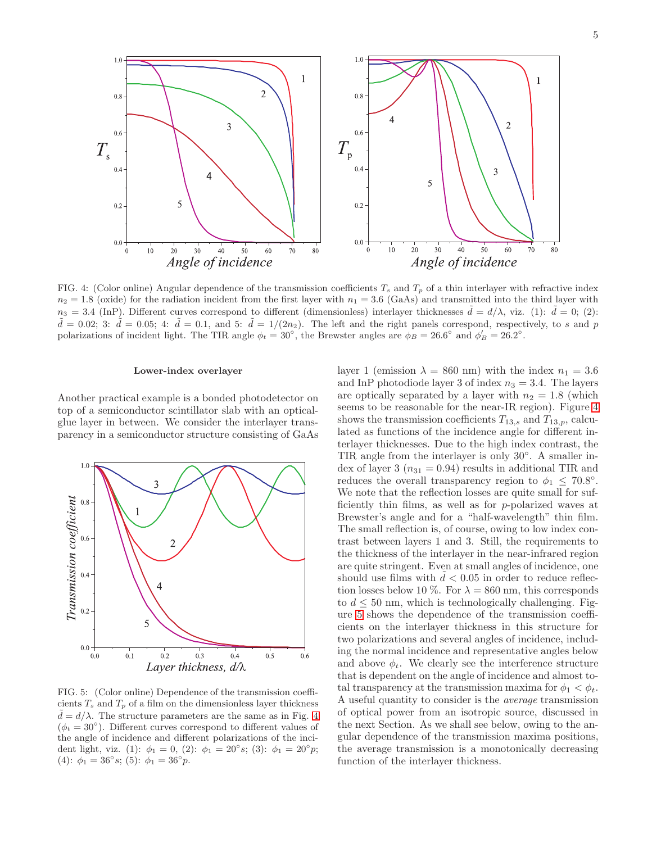

<span id="page-4-0"></span>FIG. 4: (Color online) Angular dependence of the transmission coefficients  $T_s$  and  $T_p$  of a thin interlayer with refractive index  $n_2 = 1.8$  (oxide) for the radiation incident from the first layer with  $n_1 = 3.6$  (GaAs) and transmitted into the third layer with  $n_3 = 3.4$  (InP). Different curves correspond to different (dimensionless) interlayer thicknesses  $\tilde{d} = d/\lambda$ , viz. (1):  $\tilde{d} = 0$ ; (2):  $\tilde{d} = 0.02$ ; 3:  $\tilde{d} = 0.05$ ; 4:  $\tilde{d} = 0.1$ , and 5:  $\tilde{d} = 1/(2n_2)$ . The left and the right panels correspond, respectively, to s and p polarizations of incident light. The TIR angle  $\phi_t = 30^\circ$ , the Brewster angles are  $\phi_B = 26.6^\circ$  and  $\phi'_B = 26.2^\circ$ .

### Lower-index overlayer

Another practical example is a bonded photodetector on top of a semiconductor scintillator slab with an opticalglue layer in between. We consider the interlayer transparency in a semiconductor structure consisting of GaAs



<span id="page-4-1"></span>FIG. 5: (Color online) Dependence of the transmission coefficients  $T_s$  and  $T_p$  of a film on the dimensionless layer thickness  $d = d/\lambda$ . The structure parameters are the same as in Fig. [4](#page-4-0)  $(\phi_t = 30^\circ)$ . Different curves correspond to different values of the angle of incidence and different polarizations of the incident light, viz. (1):  $\phi_1 = 0$ , (2):  $\phi_1 = 20^\circ s$ ; (3):  $\phi_1 = 20^\circ p$ ; (4):  $\phi_1 = 36^\circ s$ ; (5):  $\phi_1 = 36^\circ p$ .

layer 1 (emission  $\lambda = 860$  nm) with the index  $n_1 = 3.6$ and InP photodiode layer 3 of index  $n_3 = 3.4$ . The layers are optically separated by a layer with  $n_2 = 1.8$  (which seems to be reasonable for the near-IR region). Figure [4](#page-4-0) shows the transmission coefficients  $T_{13,s}$  and  $T_{13,p}$ , calculated as functions of the incidence angle for different interlayer thicknesses. Due to the high index contrast, the TIR angle from the interlayer is only 30°. A smaller index of layer 3 ( $n_{31} = 0.94$ ) results in additional TIR and reduces the overall transparency region to  $\phi_1 \leq 70.8^\circ$ . We note that the reflection losses are quite small for sufficiently thin films, as well as for p-polarized waves at Brewster's angle and for a "half-wavelength" thin film. The small reflection is, of course, owing to low index contrast between layers 1 and 3. Still, the requirements to the thickness of the interlayer in the near-infrared region are quite stringent. Even at small angles of incidence, one should use films with  $d < 0.05$  in order to reduce reflection losses below 10 %. For  $\lambda = 860$  nm, this corresponds to  $d \leq 50$  nm, which is technologically challenging. Figure [5](#page-4-1) shows the dependence of the transmission coefficients on the interlayer thickness in this structure for two polarizations and several angles of incidence, including the normal incidence and representative angles below and above  $\phi_t$ . We clearly see the interference structure that is dependent on the angle of incidence and almost total transparency at the transmission maxima for  $\phi_1 < \phi_t$ . A useful quantity to consider is the average transmission of optical power from an isotropic source, discussed in the next Section. As we shall see below, owing to the angular dependence of the transmission maxima positions, the average transmission is a monotonically decreasing function of the interlayer thickness.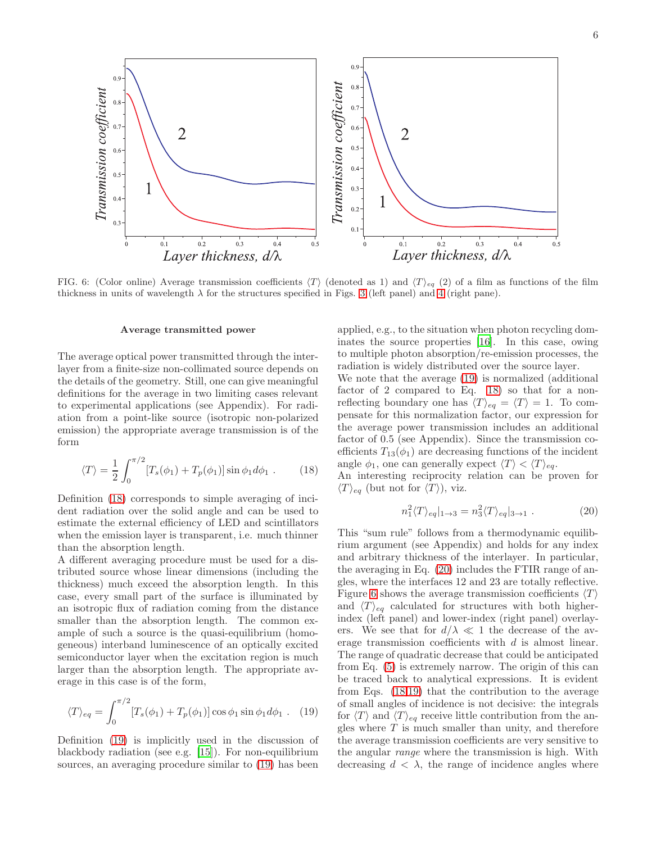6



<span id="page-5-3"></span>FIG. 6: (Color online) Average transmission coefficients  $\langle T \rangle$  (denoted as 1) and  $\langle T \rangle_{eq}$  (2) of a film as functions of the film thickness in units of wavelength  $\lambda$  for the structures specified in Figs. [3](#page-3-0) (left panel) and [4](#page-4-0) (right pane).

### Average transmitted power

The average optical power transmitted through the interlayer from a finite-size non-collimated source depends on the details of the geometry. Still, one can give meaningful definitions for the average in two limiting cases relevant to experimental applications (see Appendix). For radiation from a point-like source (isotropic non-polarized emission) the appropriate average transmission is of the form

<span id="page-5-0"></span>
$$
\langle T \rangle = \frac{1}{2} \int_0^{\pi/2} [T_s(\phi_1) + T_p(\phi_1)] \sin \phi_1 d\phi_1 . \qquad (18)
$$

Definition [\(18\)](#page-5-0) corresponds to simple averaging of incident radiation over the solid angle and can be used to estimate the external efficiency of LED and scintillators when the emission layer is transparent, i.e. much thinner than the absorption length.

A different averaging procedure must be used for a distributed source whose linear dimensions (including the thickness) much exceed the absorption length. In this case, every small part of the surface is illuminated by an isotropic flux of radiation coming from the distance smaller than the absorption length. The common example of such a source is the quasi-equilibrium (homogeneous) interband luminescence of an optically excited semiconductor layer when the excitation region is much larger than the absorption length. The appropriate average in this case is of the form,

<span id="page-5-1"></span>
$$
\langle T \rangle_{eq} = \int_0^{\pi/2} [T_s(\phi_1) + T_p(\phi_1)] \cos \phi_1 \sin \phi_1 d\phi_1 . \quad (19)
$$

Definition [\(19\)](#page-5-1) is implicitly used in the discussion of blackbody radiation (see e.g. [\[15\]](#page-8-13)). For non-equilibrium sources, an averaging procedure similar to [\(19\)](#page-5-1) has been

applied, e.g., to the situation when photon recycling dominates the source properties [\[16](#page-8-14)]. In this case, owing to multiple photon absorption/re-emission processes, the radiation is widely distributed over the source layer.

We note that the average [\(19\)](#page-5-1) is normalized (additional factor of 2 compared to Eq. [18\)](#page-5-0) so that for a nonreflecting boundary one has  $\langle T \rangle_{eq} = \langle T \rangle = 1$ . To compensate for this normalization factor, our expression for the average power transmission includes an additional factor of 0.5 (see Appendix). Since the transmission coefficients  $T_{13}(\phi_1)$  are decreasing functions of the incident angle  $\phi_1$ , one can generally expect  $\langle T \rangle < \langle T \rangle_{eq}$ .

An interesting reciprocity relation can be proven for  $\langle T \rangle_{eq}$  (but not for  $\langle T \rangle$ ), viz.

<span id="page-5-2"></span>
$$
n_1^2 \langle T \rangle_{eq} |_{1 \to 3} = n_3^2 \langle T \rangle_{eq} |_{3 \to 1} . \tag{20}
$$

This "sum rule" follows from a thermodynamic equilibrium argument (see Appendix) and holds for any index and arbitrary thickness of the interlayer. In particular, the averaging in Eq. [\(20\)](#page-5-2) includes the FTIR range of angles, where the interfaces 12 and 23 are totally reflective. Figure [6](#page-5-3) shows the average transmission coefficients  $\langle T \rangle$ and  $\langle T \rangle_{eq}$  calculated for structures with both higherindex (left panel) and lower-index (right panel) overlayers. We see that for  $d/\lambda \ll 1$  the decrease of the average transmission coefficients with d is almost linear. The range of quadratic decrease that could be anticipated from Eq. [\(5\)](#page-7-2) is extremely narrow. The origin of this can be traced back to analytical expressions. It is evident from Eqs. [\(18,](#page-5-0)[19\)](#page-5-1) that the contribution to the average of small angles of incidence is not decisive: the integrals for  $\langle T \rangle$  and  $\langle T \rangle_{eq}$  receive little contribution from the angles where  $T$  is much smaller than unity, and therefore the average transmission coefficients are very sensitive to the angular range where the transmission is high. With decreasing  $d < \lambda$ , the range of incidence angles where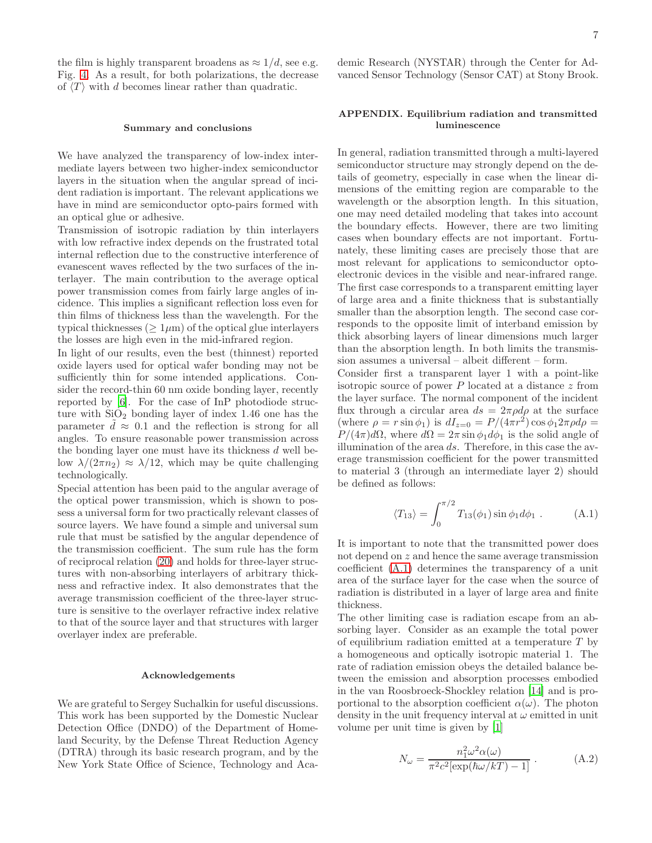the film is highly transparent broadens as  $\approx 1/d$ , see e.g. Fig. [4.](#page-4-0) As a result, for both polarizations, the decrease of  $\langle T \rangle$  with d becomes linear rather than quadratic.

### Summary and conclusions

We have analyzed the transparency of low-index intermediate layers between two higher-index semiconductor layers in the situation when the angular spread of incident radiation is important. The relevant applications we have in mind are semiconductor opto-pairs formed with an optical glue or adhesive.

Transmission of isotropic radiation by thin interlayers with low refractive index depends on the frustrated total internal reflection due to the constructive interference of evanescent waves reflected by the two surfaces of the interlayer. The main contribution to the average optical power transmission comes from fairly large angles of incidence. This implies a significant reflection loss even for thin films of thickness less than the wavelength. For the typical thicknesses ( $\geq 1 \mu m$ ) of the optical glue interlayers the losses are high even in the mid-infrared region.

In light of our results, even the best (thinnest) reported oxide layers used for optical wafer bonding may not be sufficiently thin for some intended applications. Consider the record-thin 60 nm oxide bonding layer, recently reported by [\[6\]](#page-8-5). For the case of InP photodiode structure with  $SiO<sub>2</sub>$  bonding layer of index 1.46 one has the parameter  $d \approx 0.1$  and the reflection is strong for all angles. To ensure reasonable power transmission across the bonding layer one must have its thickness  $d$  well below  $\lambda/(2\pi n_2) \approx \lambda/12$ , which may be quite challenging technologically.

Special attention has been paid to the angular average of the optical power transmission, which is shown to possess a universal form for two practically relevant classes of source layers. We have found a simple and universal sum rule that must be satisfied by the angular dependence of the transmission coefficient. The sum rule has the form of reciprocal relation [\(20\)](#page-5-2) and holds for three-layer structures with non-absorbing interlayers of arbitrary thickness and refractive index. It also demonstrates that the average transmission coefficient of the three-layer structure is sensitive to the overlayer refractive index relative to that of the source layer and that structures with larger overlayer index are preferable.

### Acknowledgements

We are grateful to Sergey Suchalkin for useful discussions. This work has been supported by the Domestic Nuclear Detection Office (DNDO) of the Department of Homeland Security, by the Defense Threat Reduction Agency (DTRA) through its basic research program, and by the New York State Office of Science, Technology and Academic Research (NYSTAR) through the Center for Advanced Sensor Technology (Sensor CAT) at Stony Brook.

# APPENDIX. Equilibrium radiation and transmitted luminescence

In general, radiation transmitted through a multi-layered semiconductor structure may strongly depend on the details of geometry, especially in case when the linear dimensions of the emitting region are comparable to the wavelength or the absorption length. In this situation, one may need detailed modeling that takes into account the boundary effects. However, there are two limiting cases when boundary effects are not important. Fortunately, these limiting cases are precisely those that are most relevant for applications to semiconductor optoelectronic devices in the visible and near-infrared range. The first case corresponds to a transparent emitting layer of large area and a finite thickness that is substantially smaller than the absorption length. The second case corresponds to the opposite limit of interband emission by thick absorbing layers of linear dimensions much larger than the absorption length. In both limits the transmission assumes a universal – albeit different – form.

Consider first a transparent layer 1 with a point-like isotropic source of power  $P$  located at a distance  $z$  from the layer surface. The normal component of the incident flux through a circular area  $ds = 2\pi \rho d\rho$  at the surface (where  $\rho = r \sin \phi_1$ ) is  $dI_{z=0} = P/(4\pi r^2) \cos \phi_1 2\pi \rho d\rho =$  $P/(4\pi)d\Omega$ , where  $d\Omega = 2\pi \sin \phi_1 d\phi_1$  is the solid angle of illumination of the area  $ds$ . Therefore, in this case the average transmission coefficient for the power transmitted to material 3 (through an intermediate layer 2) should be defined as follows:

<span id="page-6-0"></span>
$$
\langle T_{13} \rangle = \int_0^{\pi/2} T_{13}(\phi_1) \sin \phi_1 d\phi_1 . \qquad (A.1)
$$

It is important to note that the transmitted power does not depend on z and hence the same average transmission coefficient [\(A.1\)](#page-6-0) determines the transparency of a unit area of the surface layer for the case when the source of radiation is distributed in a layer of large area and finite thickness.

The other limiting case is radiation escape from an absorbing layer. Consider as an example the total power of equilibrium radiation emitted at a temperature  $T$  by a homogeneous and optically isotropic material 1. The rate of radiation emission obeys the detailed balance between the emission and absorption processes embodied in the van Roosbroeck-Shockley relation [\[14\]](#page-8-15) and is proportional to the absorption coefficient  $\alpha(\omega)$ . The photon density in the unit frequency interval at  $\omega$  emitted in unit volume per unit time is given by [\[1](#page-8-0)]

<span id="page-6-1"></span>
$$
N_{\omega} = \frac{n_1^2 \omega^2 \alpha(\omega)}{\pi^2 c^2 [\exp(\hbar \omega / kT) - 1]} . \tag{A.2}
$$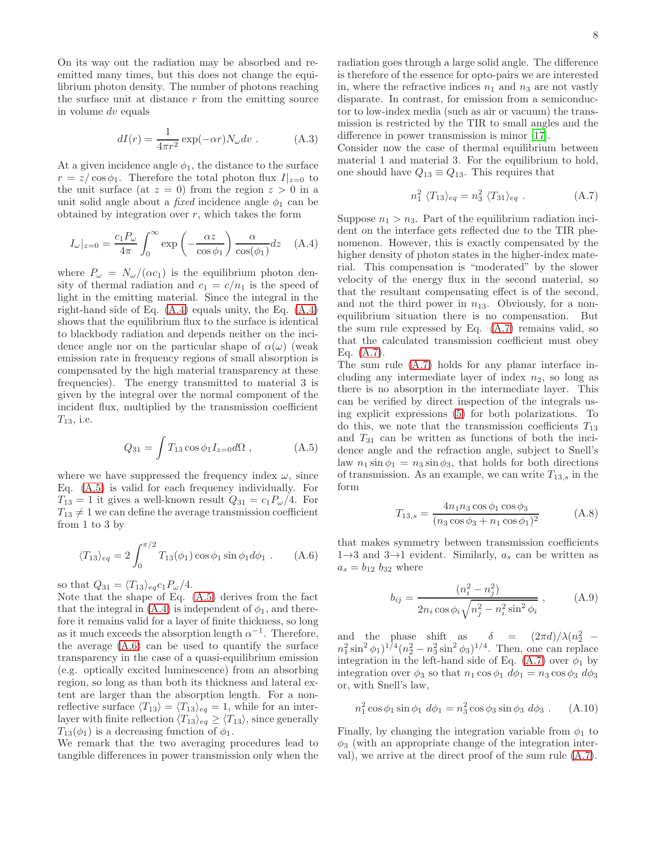On its way out the radiation may be absorbed and reemitted many times, but this does not change the equilibrium photon density. The number of photons reaching the surface unit at distance  $r$  from the emitting source in volume dv equals

<span id="page-7-0"></span>
$$
dI(r) = \frac{1}{4\pi r^2} \exp(-\alpha r) N_{\omega} dv . \qquad (A.3)
$$

At a given incidence angle  $\phi_1$ , the distance to the surface  $r = z/\cos\phi_1$ . Therefore the total photon flux  $I|_{z=0}$  to the unit surface (at  $z = 0$ ) from the region  $z > 0$  in a unit solid angle about a *fixed* incidence angle  $\phi_1$  can be obtained by integration over  $r$ , which takes the form

<span id="page-7-1"></span>
$$
I_{\omega}|_{z=0} = \frac{c_1 P_{\omega}}{4\pi} \int_0^{\infty} \exp\left(-\frac{\alpha z}{\cos \phi_1}\right) \frac{\alpha}{\cos(\phi_1)} dz \quad (A.4)
$$

where  $P_{\omega} = N_{\omega}/(\alpha c_1)$  is the equilibrium photon density of thermal radiation and  $c_1 = c/n_1$  is the speed of light in the emitting material. Since the integral in the right-hand side of Eq. [\(A.4\)](#page-7-1) equals unity, the Eq. [\(A.4\)](#page-7-1) shows that the equilibrium flux to the surface is identical to blackbody radiation and depends neither on the incidence angle nor on the particular shape of  $\alpha(\omega)$  (weak emission rate in frequency regions of small absorption is compensated by the high material transparency at these frequencies). The energy transmitted to material 3 is given by the integral over the normal component of the incident flux, multiplied by the transmission coefficient  $T_{13}$ , i.e.

<span id="page-7-2"></span>
$$
Q_{31} = \int T_{13} \cos \phi_1 I_{z=0} d\Omega , \qquad (A.5)
$$

where we have suppressed the frequency index  $\omega$ , since Eq. [\(A.5\)](#page-7-2) is valid for each frequency individually. For  $T_{13} = 1$  it gives a well-known result  $Q_{31} = c_1 P_\omega/4$ . For  $T_{13} \neq 1$  we can define the average transmission coefficient from 1 to 3 by

<span id="page-7-3"></span>
$$
\langle T_{13} \rangle_{eq} = 2 \int_0^{\pi/2} T_{13}(\phi_1) \cos \phi_1 \sin \phi_1 d\phi_1 . \quad (A.6)
$$

so that  $Q_{31} = \langle T_{13} \rangle_{eq} c_1 P_\omega / 4.$ 

Note that the shape of Eq. [\(A.5\)](#page-7-2) derives from the fact that the integral in  $(A.4)$  is independent of  $\phi_1$ , and therefore it remains valid for a layer of finite thickness, so long as it much exceeds the absorption length  $\alpha^{-1}$ . Therefore, the average [\(A.6\)](#page-7-3) can be used to quantify the surface transparency in the case of a quasi-equilibrium emission (e.g. optically excited luminescence) from an absorbing region, so long as than both its thickness and lateral extent are larger than the absorption length. For a nonreflective surface  $\langle T_{13} \rangle = \langle T_{13} \rangle_{eq} = 1$ , while for an interlayer with finite reflection  $\langle T_{13}\rangle_{eq} \geq \langle T_{13}\rangle$ , since generally  $T_{13}(\phi_1)$  is a decreasing function of  $\phi_1$ .

We remark that the two averaging procedures lead to tangible differences in power transmission only when the

radiation goes through a large solid angle. The difference is therefore of the essence for opto-pairs we are interested in, where the refractive indices  $n_1$  and  $n_3$  are not vastly disparate. In contrast, for emission from a semiconductor to low-index media (such as air or vacuum) the transmission is restricted by the TIR to small angles and the difference in power transmission is minor [\[17\]](#page-8-16).

Consider now the case of thermal equilibrium between material 1 and material 3. For the equilibrium to hold, one should have  $Q_{13} \equiv Q_{13}$ . This requires that

<span id="page-7-5"></span>
$$
n_1^2 \ \langle T_{13} \rangle_{eq} = n_3^2 \ \langle T_{31} \rangle_{eq} \ . \tag{A.7}
$$

Suppose  $n_1 > n_3$ . Part of the equilibrium radiation incident on the interface gets reflected due to the TIR phenomenon. However, this is exactly compensated by the higher density of photon states in the higher-index material. This compensation is "moderated" by the slower velocity of the energy flux in the second material, so that the resultant compensating effect is of the second, and not the third power in  $n_{13}$ . Obviously, for a nonequilibrium situation there is no compensation. But the sum rule expressed by Eq. [\(A.7\)](#page-7-5) remains valid, so that the calculated transmission coefficient must obey Eq. [\(A.7\)](#page-7-5).

The sum rule [\(A.7\)](#page-7-5) holds for any planar interface including any intermediate layer of index  $n_2$ , so long as there is no absorption in the intermediate layer. This can be verified by direct inspection of the integrals using explicit expressions [\(5\)](#page-7-2) for both polarizations. To do this, we note that the transmission coefficients  $T_{13}$ and  $T_{31}$  can be written as functions of both the incidence angle and the refraction angle, subject to Snell's law  $n_1 \sin \phi_1 = n_3 \sin \phi_3$ , that holds for both directions of transmission. As an example, we can write  $T_{13,s}$  in the form

<span id="page-7-6"></span>
$$
T_{13,s} = \frac{4n_1n_3\cos\phi_1\cos\phi_3}{(n_3\cos\phi_3 + n_1\cos\phi_1)^2}
$$
 (A.8)

that makes symmetry between transmission coefficients  $1\rightarrow 3$  and  $3\rightarrow 1$  evident. Similarly,  $a_s$  can be written as  $a_s = b_{12} b_{32}$  where

<span id="page-7-4"></span>
$$
b_{ij} = \frac{(n_i^2 - n_j^2)}{2n_i \cos \phi_i \sqrt{n_j^2 - n_i^2 \sin^2 \phi_i}} , \qquad (A.9)
$$

and the phase shift as  $\delta = (2\pi d)/\lambda (n_2^2 (n_1^2 \sin^2 \phi_1)^{1/4} (n_2^2 - n_3^2 \sin^2 \phi_3)^{1/4}$ . Then, one can replace integration in the left-hand side of Eq.  $(A.7)$  over  $\phi_1$  by integration over  $\phi_3$  so that  $n_1 \cos \phi_1 d\phi_1 = n_3 \cos \phi_3 d\phi_3$ or, with Snell's law,

$$
n_1^2 \cos \phi_1 \sin \phi_1 \ d\phi_1 = n_3^2 \cos \phi_3 \sin \phi_3 \ d\phi_3 \ . \tag{A.10}
$$

Finally, by changing the integration variable from  $\phi_1$  to  $\phi_3$  (with an appropriate change of the integration interval), we arrive at the direct proof of the sum rule [\(A.7\)](#page-7-5).